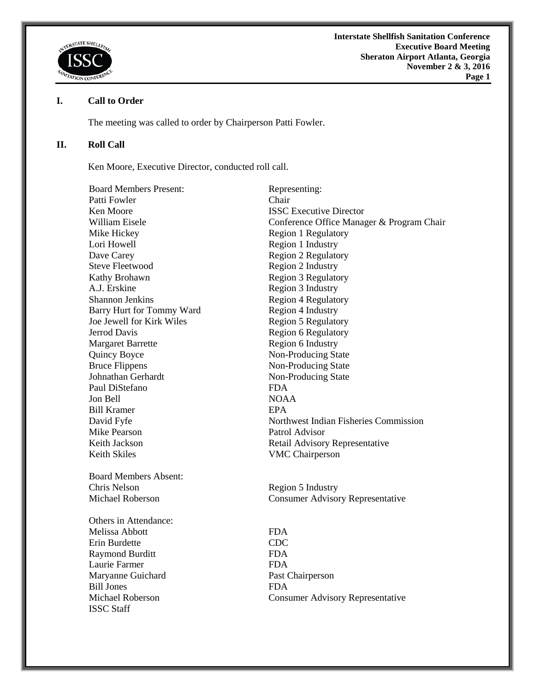

# **I. Call to Order**

ISSC Staff

The meeting was called to order by Chairperson Patti Fowler.

# **II. Roll Call**

Ken Moore, Executive Director, conducted roll call.

| <b>Board Members Present:</b> | Representing:                             |
|-------------------------------|-------------------------------------------|
| Patti Fowler                  | Chair                                     |
| Ken Moore                     | <b>ISSC Executive Director</b>            |
| William Eisele                | Conference Office Manager & Program Chair |
| Mike Hickey                   | <b>Region 1 Regulatory</b>                |
| Lori Howell                   | Region 1 Industry                         |
| Dave Carey                    | <b>Region 2 Regulatory</b>                |
| <b>Steve Fleetwood</b>        | Region 2 Industry                         |
| Kathy Brohawn                 | Region 3 Regulatory                       |
| A.J. Erskine                  | Region 3 Industry                         |
| <b>Shannon Jenkins</b>        | <b>Region 4 Regulatory</b>                |
| Barry Hurt for Tommy Ward     | Region 4 Industry                         |
| Joe Jewell for Kirk Wiles     | <b>Region 5 Regulatory</b>                |
| <b>Jerrod Davis</b>           | Region 6 Regulatory                       |
| <b>Margaret Barrette</b>      | Region 6 Industry                         |
| Quincy Boyce                  | Non-Producing State                       |
| <b>Bruce Flippens</b>         | Non-Producing State                       |
| Johnathan Gerhardt            | Non-Producing State                       |
| Paul DiStefano                | <b>FDA</b>                                |
| Jon Bell                      | <b>NOAA</b>                               |
| <b>Bill Kramer</b>            | <b>EPA</b>                                |
| David Fyfe                    | Northwest Indian Fisheries Commission     |
| <b>Mike Pearson</b>           | Patrol Advisor                            |
| Keith Jackson                 | Retail Advisory Representative            |
| <b>Keith Skiles</b>           | <b>VMC</b> Chairperson                    |
| <b>Board Members Absent:</b>  |                                           |
| Chris Nelson                  | Region 5 Industry                         |
| <b>Michael Roberson</b>       | <b>Consumer Advisory Representative</b>   |
| Others in Attendance:         |                                           |
| Melissa Abbott                | <b>FDA</b>                                |
| Erin Burdette                 | <b>CDC</b>                                |
| <b>Raymond Burditt</b>        | <b>FDA</b>                                |
| Laurie Farmer                 | <b>FDA</b>                                |
| Maryanne Guichard             | Past Chairperson                          |
| <b>Bill Jones</b>             | <b>FDA</b>                                |
| <b>Michael Roberson</b>       | <b>Consumer Advisory Representative</b>   |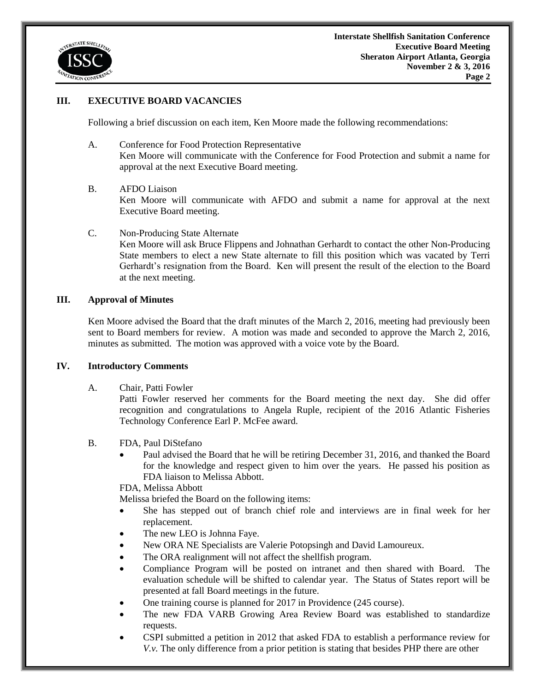

## **III. EXECUTIVE BOARD VACANCIES**

Following a brief discussion on each item, Ken Moore made the following recommendations:

- A. Conference for Food Protection Representative Ken Moore will communicate with the Conference for Food Protection and submit a name for approval at the next Executive Board meeting.
- B. AFDO Liaison

Ken Moore will communicate with AFDO and submit a name for approval at the next Executive Board meeting.

C. Non-Producing State Alternate

Ken Moore will ask Bruce Flippens and Johnathan Gerhardt to contact the other Non-Producing State members to elect a new State alternate to fill this position which was vacated by Terri Gerhardt's resignation from the Board. Ken will present the result of the election to the Board at the next meeting.

#### **III. Approval of Minutes**

Ken Moore advised the Board that the draft minutes of the March 2, 2016, meeting had previously been sent to Board members for review. A motion was made and seconded to approve the March 2, 2016, minutes as submitted. The motion was approved with a voice vote by the Board.

#### **IV. Introductory Comments**

A. Chair, Patti Fowler

Patti Fowler reserved her comments for the Board meeting the next day. She did offer recognition and congratulations to Angela Ruple, recipient of the 2016 Atlantic Fisheries Technology Conference Earl P. McFee award.

- B. FDA, Paul DiStefano
	- Paul advised the Board that he will be retiring December 31, 2016, and thanked the Board for the knowledge and respect given to him over the years. He passed his position as FDA liaison to Melissa Abbott.

FDA, Melissa Abbott

Melissa briefed the Board on the following items:

- She has stepped out of branch chief role and interviews are in final week for her replacement.
- The new LEO is Johnna Faye.
- New ORA NE Specialists are Valerie Potopsingh and David Lamoureux.
- The ORA realignment will not affect the shellfish program.
- Compliance Program will be posted on intranet and then shared with Board. The evaluation schedule will be shifted to calendar year. The Status of States report will be presented at fall Board meetings in the future.
- One training course is planned for 2017 in Providence (245 course).
- The new FDA VARB Growing Area Review Board was established to standardize requests.
- CSPI submitted a petition in 2012 that asked FDA to establish a performance review for *V.v.* The only difference from a prior petition is stating that besides PHP there are other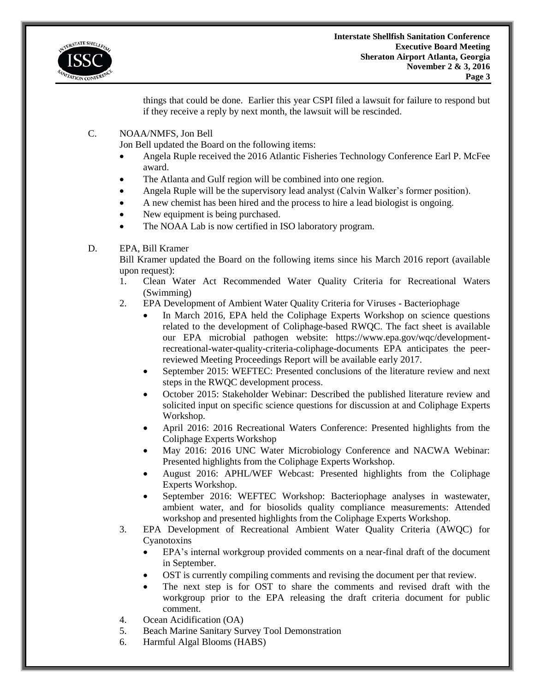

things that could be done. Earlier this year CSPI filed a lawsuit for failure to respond but if they receive a reply by next month, the lawsuit will be rescinded.

C. NOAA/NMFS, Jon Bell

Jon Bell updated the Board on the following items:

- Angela Ruple received the 2016 Atlantic Fisheries Technology Conference Earl P. McFee award.
- The Atlanta and Gulf region will be combined into one region.
- Angela Ruple will be the supervisory lead analyst (Calvin Walker's former position).
- A new chemist has been hired and the process to hire a lead biologist is ongoing.
- New equipment is being purchased.
- The NOAA Lab is now certified in ISO laboratory program.

## D. EPA, Bill Kramer

Bill Kramer updated the Board on the following items since his March 2016 report (available upon request):

- 1. Clean Water Act Recommended Water Quality Criteria for Recreational Waters (Swimming)
- 2. EPA Development of Ambient Water Quality Criteria for Viruses Bacteriophage
	- In March 2016, EPA held the Coliphage Experts Workshop on science questions related to the development of Coliphage-based RWQC. The fact sheet is available our EPA microbial pathogen website: https://www.epa.gov/wqc/developmentrecreational-water-quality-criteria-coliphage-documents EPA anticipates the peerreviewed Meeting Proceedings Report will be available early 2017.
	- September 2015: WEFTEC: Presented conclusions of the literature review and next steps in the RWQC development process.
	- October 2015: Stakeholder Webinar: Described the published literature review and solicited input on specific science questions for discussion at and Coliphage Experts Workshop.
	- April 2016: 2016 Recreational Waters Conference: Presented highlights from the Coliphage Experts Workshop
	- May 2016: 2016 UNC Water Microbiology Conference and NACWA Webinar: Presented highlights from the Coliphage Experts Workshop.
	- August 2016: APHL/WEF Webcast: Presented highlights from the Coliphage Experts Workshop.
	- September 2016: WEFTEC Workshop: Bacteriophage analyses in wastewater, ambient water, and for biosolids quality compliance measurements: Attended workshop and presented highlights from the Coliphage Experts Workshop.
- 3. EPA Development of Recreational Ambient Water Quality Criteria (AWQC) for Cyanotoxins
	- EPA's internal workgroup provided comments on a near-final draft of the document in September.
	- OST is currently compiling comments and revising the document per that review.
	- The next step is for OST to share the comments and revised draft with the workgroup prior to the EPA releasing the draft criteria document for public comment.
- 4. Ocean Acidification (OA)
- 5. Beach Marine Sanitary Survey Tool Demonstration
- 6. Harmful Algal Blooms (HABS)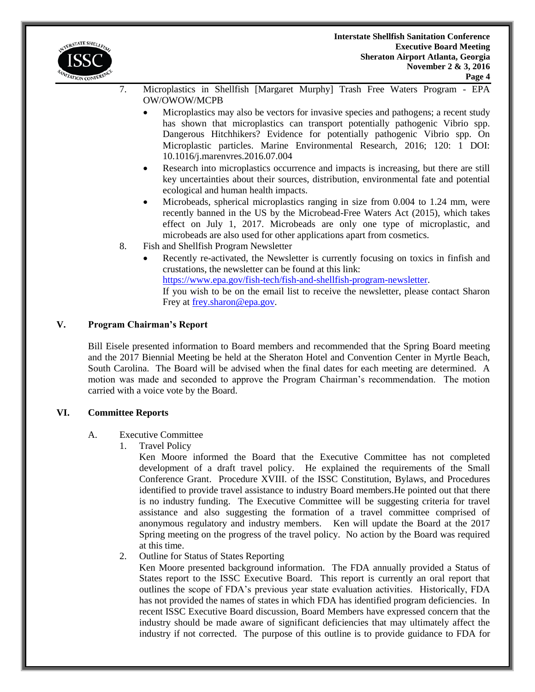

- 7. Microplastics in Shellfish [Margaret Murphy] Trash Free Waters Program EPA OW/OWOW/MCPB
	- Microplastics may also be vectors for invasive species and pathogens; a recent study has shown that microplastics can transport potentially pathogenic Vibrio spp. Dangerous Hitchhikers? Evidence for potentially pathogenic Vibrio spp. On Microplastic particles. Marine Environmental Research, 2016; 120: 1 DOI: 10.1016/j.marenvres.2016.07.004
	- Research into microplastics occurrence and impacts is increasing, but there are still key uncertainties about their sources, distribution, environmental fate and potential ecological and human health impacts.
	- Microbeads, spherical microplastics ranging in size from 0.004 to 1.24 mm, were recently banned in the US by the Microbead-Free Waters Act (2015), which takes effect on July 1, 2017. Microbeads are only one type of microplastic, and microbeads are also used for other applications apart from cosmetics.
- 8. Fish and Shellfish Program Newsletter
	- Recently re-activated, the Newsletter is currently focusing on toxics in finfish and crustations, the newsletter can be found at this link: [https://www.epa.gov/fish-tech/fish-and-shellfish-program-newsletter.](https://www.epa.gov/fish-tech/fish-and-shellfish-program-newsletter) If you wish to be on the email list to receive the newsletter, please contact Sharon Frey at [frey.sharon@epa.gov.](mailto:frey.sharon@epa.gov)

## **V. Program Chairman's Report**

Bill Eisele presented information to Board members and recommended that the Spring Board meeting and the 2017 Biennial Meeting be held at the Sheraton Hotel and Convention Center in Myrtle Beach, South Carolina. The Board will be advised when the final dates for each meeting are determined. A motion was made and seconded to approve the Program Chairman's recommendation. The motion carried with a voice vote by the Board.

### **VI. Committee Reports**

### A. Executive Committee

1. Travel Policy

Ken Moore informed the Board that the Executive Committee has not completed development of a draft travel policy. He explained the requirements of the Small Conference Grant. Procedure XVIII. of the ISSC Constitution, Bylaws, and Procedures identified to provide travel assistance to industry Board members.He pointed out that there is no industry funding. The Executive Committee will be suggesting criteria for travel assistance and also suggesting the formation of a travel committee comprised of anonymous regulatory and industry members. Ken will update the Board at the 2017 Spring meeting on the progress of the travel policy. No action by the Board was required at this time.

2. Outline for Status of States Reporting

Ken Moore presented background information. The FDA annually provided a Status of States report to the ISSC Executive Board. This report is currently an oral report that outlines the scope of FDA's previous year state evaluation activities. Historically, FDA has not provided the names of states in which FDA has identified program deficiencies. In recent ISSC Executive Board discussion, Board Members have expressed concern that the industry should be made aware of significant deficiencies that may ultimately affect the industry if not corrected. The purpose of this outline is to provide guidance to FDA for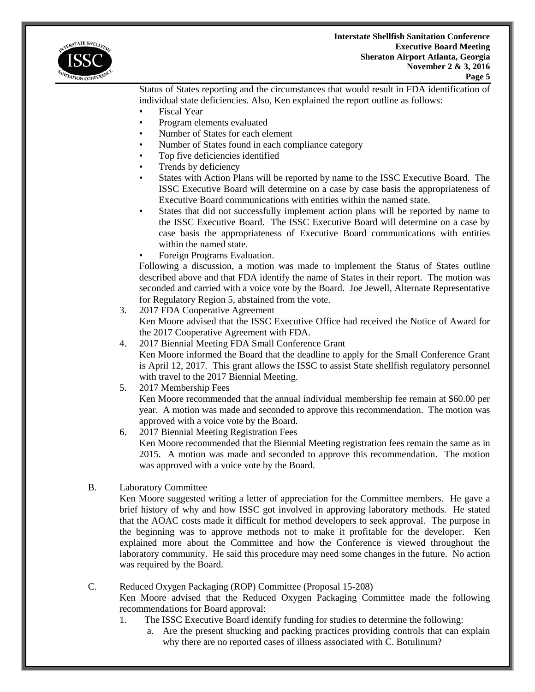

Status of States reporting and the circumstances that would result in FDA identification of individual state deficiencies. Also, Ken explained the report outline as follows:

- Fiscal Year
- Program elements evaluated
- Number of States for each element
- Number of States found in each compliance category
- Top five deficiencies identified
- Trends by deficiency
- States with Action Plans will be reported by name to the ISSC Executive Board. The ISSC Executive Board will determine on a case by case basis the appropriateness of Executive Board communications with entities within the named state.
- States that did not successfully implement action plans will be reported by name to the ISSC Executive Board. The ISSC Executive Board will determine on a case by case basis the appropriateness of Executive Board communications with entities within the named state.
- Foreign Programs Evaluation.

Following a discussion, a motion was made to implement the Status of States outline described above and that FDA identify the name of States in their report. The motion was seconded and carried with a voice vote by the Board. Joe Jewell, Alternate Representative for Regulatory Region 5, abstained from the vote.

- 3. 2017 FDA Cooperative Agreement Ken Moore advised that the ISSC Executive Office had received the Notice of Award for the 2017 Cooperative Agreement with FDA.
- 4. 2017 Biennial Meeting FDA Small Conference Grant Ken Moore informed the Board that the deadline to apply for the Small Conference Grant is April 12, 2017. This grant allows the ISSC to assist State shellfish regulatory personnel with travel to the 2017 Biennial Meeting.
- 5. 2017 Membership Fees

Ken Moore recommended that the annual individual membership fee remain at \$60.00 per year. A motion was made and seconded to approve this recommendation. The motion was approved with a voice vote by the Board.

- 6. 2017 Biennial Meeting Registration Fees Ken Moore recommended that the Biennial Meeting registration fees remain the same as in 2015. A motion was made and seconded to approve this recommendation. The motion was approved with a voice vote by the Board.
- B. Laboratory Committee

Ken Moore suggested writing a letter of appreciation for the Committee members. He gave a brief history of why and how ISSC got involved in approving laboratory methods. He stated that the AOAC costs made it difficult for method developers to seek approval. The purpose in the beginning was to approve methods not to make it profitable for the developer. Ken explained more about the Committee and how the Conference is viewed throughout the laboratory community. He said this procedure may need some changes in the future. No action was required by the Board.

C. Reduced Oxygen Packaging (ROP) Committee (Proposal 15-208)

Ken Moore advised that the Reduced Oxygen Packaging Committee made the following recommendations for Board approval:

- 1. The ISSC Executive Board identify funding for studies to determine the following:
	- a. Are the present shucking and packing practices providing controls that can explain why there are no reported cases of illness associated with C. Botulinum?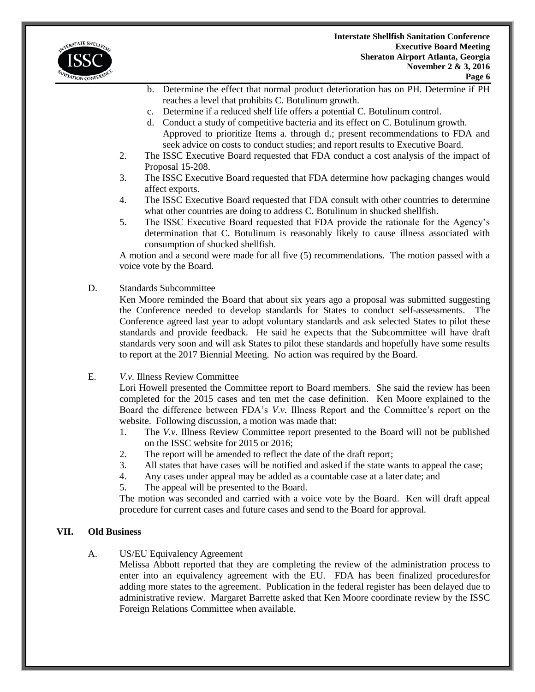

- b. Determine the effect that normal product deterioration has on PH. Determine if PH reaches a level that prohibits C. Botulinum growth.
- c. Determine if a reduced shelf life offers a potential C. Botulinum control.
- d. Conduct a study of competitive bacteria and its effect on C. Botulinum growth. Approved to prioritize Items a. through d.; present recommendations to FDA and seek advice on costs to conduct studies; and report results to Executive Board.
- 2. The ISSC Executive Board requested that FDA conduct a cost analysis of the impact of Proposal 15-208.
- 3. The ISSC Executive Board requested that FDA determine how packaging changes would affect exports.
- 4. The ISSC Executive Board requested that FDA consult with other countries to determine what other countries are doing to address C. Botulinum in shucked shellfish.
- 5. The ISSC Executive Board requested that FDA provide the rationale for the Agency's determination that C. Botulinum is reasonably likely to cause illness associated with consumption of shucked shellfish.

A motion and a second were made for all five (5) recommendations. The motion passed with a voice vote by the Board.

## D. Standards Subcommittee

Ken Moore reminded the Board that about six years ago a proposal was submitted suggesting the Conference needed to develop standards for States to conduct self-assessments. The Conference agreed last year to adopt voluntary standards and ask selected States to pilot these standards and provide feedback. He said he expects that the Subcommittee will have draft standards very soon and will ask States to pilot these standards and hopefully have some results to report at the 2017 Biennial Meeting. No action was required by the Board.

E. *V.v.* Illness Review Committee

Lori Howell presented the Committee report to Board members. She said the review has been completed for the 2015 cases and ten met the case definition. Ken Moore explained to the Board the difference between FDA's *V.v.* Illness Report and the Committee's report on the website. Following discussion, a motion was made that:

- 1. The *V.v.* Illness Review Committee report presented to the Board will not be published on the ISSC website for 2015 or 2016;
- 2. The report will be amended to reflect the date of the draft report;
- 3. All states that have cases will be notified and asked if the state wants to appeal the case;
- 4. Any cases under appeal may be added as a countable case at a later date; and
- 5. The appeal will be presented to the Board.

The motion was seconded and carried with a voice vote by the Board. Ken will draft appeal procedure for current cases and future cases and send to the Board for approval.

### **VII. Old Business**

A. US/EU Equivalency Agreement

Melissa Abbott reported that they are completing the review of the administration process to enter into an equivalency agreement with the EU. FDA has been finalized proceduresfor adding more states to the agreement. Publication in the federal register has been delayed due to administrative review. Margaret Barrette asked that Ken Moore coordinate review by the ISSC Foreign Relations Committee when available.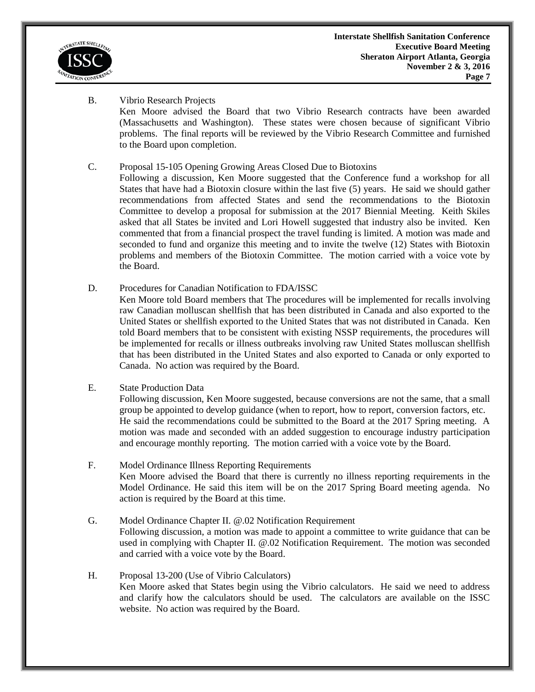

- B. Vibrio Research Projects Ken Moore advised the Board that two Vibrio Research contracts have been awarded (Massachusetts and Washington). These states were chosen because of significant Vibrio problems. The final reports will be reviewed by the Vibrio Research Committee and furnished to the Board upon completion.
- C. Proposal 15-105 Opening Growing Areas Closed Due to Biotoxins

Following a discussion, Ken Moore suggested that the Conference fund a workshop for all States that have had a Biotoxin closure within the last five (5) years. He said we should gather recommendations from affected States and send the recommendations to the Biotoxin Committee to develop a proposal for submission at the 2017 Biennial Meeting. Keith Skiles asked that all States be invited and Lori Howell suggested that industry also be invited. Ken commented that from a financial prospect the travel funding is limited. A motion was made and seconded to fund and organize this meeting and to invite the twelve (12) States with Biotoxin problems and members of the Biotoxin Committee. The motion carried with a voice vote by the Board.

D. Procedures for Canadian Notification to FDA/ISSC

Ken Moore told Board members that The procedures will be implemented for recalls involving raw Canadian molluscan shellfish that has been distributed in Canada and also exported to the United States or shellfish exported to the United States that was not distributed in Canada. Ken told Board members that to be consistent with existing NSSP requirements, the procedures will be implemented for recalls or illness outbreaks involving raw United States molluscan shellfish that has been distributed in the United States and also exported to Canada or only exported to Canada. No action was required by the Board.

E. State Production Data

Following discussion, Ken Moore suggested, because conversions are not the same, that a small group be appointed to develop guidance (when to report, how to report, conversion factors, etc. He said the recommendations could be submitted to the Board at the 2017 Spring meeting. A motion was made and seconded with an added suggestion to encourage industry participation and encourage monthly reporting. The motion carried with a voice vote by the Board.

- F. Model Ordinance Illness Reporting Requirements Ken Moore advised the Board that there is currently no illness reporting requirements in the Model Ordinance. He said this item will be on the 2017 Spring Board meeting agenda. No action is required by the Board at this time.
- G. Model Ordinance Chapter II. @.02 Notification Requirement Following discussion, a motion was made to appoint a committee to write guidance that can be used in complying with Chapter II. @.02 Notification Requirement. The motion was seconded and carried with a voice vote by the Board.
- H. Proposal 13-200 (Use of Vibrio Calculators) Ken Moore asked that States begin using the Vibrio calculators. He said we need to address and clarify how the calculators should be used. The calculators are available on the ISSC website. No action was required by the Board.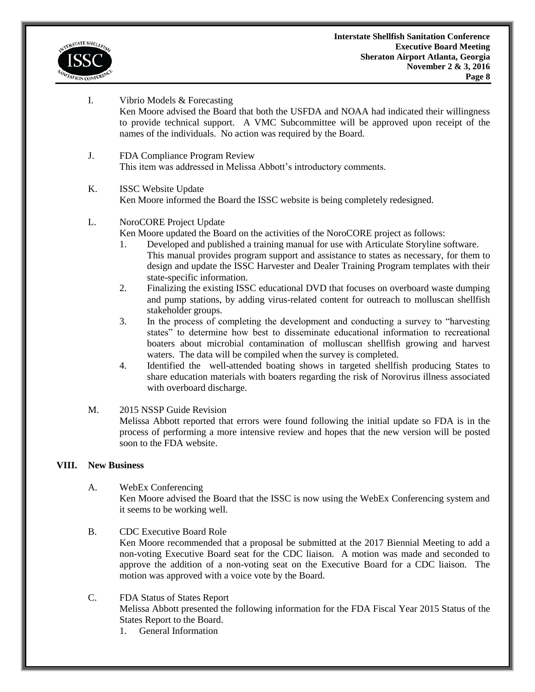

- I. Vibrio Models & Forecasting Ken Moore advised the Board that both the USFDA and NOAA had indicated their willingness to provide technical support. A VMC Subcommittee will be approved upon receipt of the names of the individuals. No action was required by the Board.
- J. FDA Compliance Program Review This item was addressed in Melissa Abbott's introductory comments.

### K. ISSC Website Update Ken Moore informed the Board the ISSC website is being completely redesigned.

## L. NoroCORE Project Update

Ken Moore updated the Board on the activities of the NoroCORE project as follows:

- 1. Developed and published a training manual for use with Articulate Storyline software. This manual provides program support and assistance to states as necessary, for them to design and update the ISSC Harvester and Dealer Training Program templates with their state-specific information.
- 2. Finalizing the existing ISSC educational DVD that focuses on overboard waste dumping and pump stations, by adding virus-related content for outreach to molluscan shellfish stakeholder groups.
- 3. In the process of completing the development and conducting a survey to "harvesting states" to determine how best to disseminate educational information to recreational boaters about microbial contamination of molluscan shellfish growing and harvest waters. The data will be compiled when the survey is completed.
- 4. Identified the well-attended boating shows in targeted shellfish producing States to share education materials with boaters regarding the risk of Norovirus illness associated with overboard discharge.

### M. 2015 NSSP Guide Revision

Melissa Abbott reported that errors were found following the initial update so FDA is in the process of performing a more intensive review and hopes that the new version will be posted soon to the FDA website.

## **VIII. New Business**

- A. WebEx Conferencing Ken Moore advised the Board that the ISSC is now using the WebEx Conferencing system and it seems to be working well.
- B. CDC Executive Board Role Ken Moore recommended that a proposal be submitted at the 2017 Biennial Meeting to add a non-voting Executive Board seat for the CDC liaison. A motion was made and seconded to approve the addition of a non-voting seat on the Executive Board for a CDC liaison. The motion was approved with a voice vote by the Board.
- C. FDA Status of States Report Melissa Abbott presented the following information for the FDA Fiscal Year 2015 Status of the States Report to the Board.
	- 1. General Information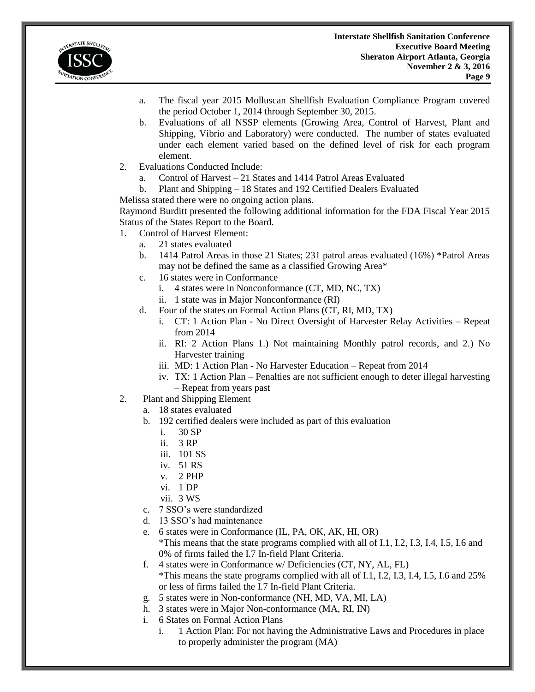

- a. The fiscal year 2015 Molluscan Shellfish Evaluation Compliance Program covered the period October 1, 2014 through September 30, 2015.
- b. Evaluations of all NSSP elements (Growing Area, Control of Harvest, Plant and Shipping, Vibrio and Laboratory) were conducted. The number of states evaluated under each element varied based on the defined level of risk for each program element.
- 2. Evaluations Conducted Include:
	- a. Control of Harvest 21 States and 1414 Patrol Areas Evaluated
	- b. Plant and Shipping 18 States and 192 Certified Dealers Evaluated
- Melissa stated there were no ongoing action plans.

Raymond Burditt presented the following additional information for the FDA Fiscal Year 2015 Status of the States Report to the Board.

- 1. Control of Harvest Element:
	- a. 21 states evaluated
	- b. 1414 Patrol Areas in those 21 States; 231 patrol areas evaluated (16%) \*Patrol Areas may not be defined the same as a classified Growing Area\*
	- c. 16 states were in Conformance
		- i. 4 states were in Nonconformance (CT, MD, NC, TX)
		- ii. 1 state was in Major Nonconformance (RI)
	- d. Four of the states on Formal Action Plans (CT, RI, MD, TX)
		- i. CT: 1 Action Plan No Direct Oversight of Harvester Relay Activities Repeat from 2014
		- ii. RI: 2 Action Plans 1.) Not maintaining Monthly patrol records, and 2.) No Harvester training
		- iii. MD: 1 Action Plan No Harvester Education Repeat from 2014
		- iv. TX: 1 Action Plan Penalties are not sufficient enough to deter illegal harvesting – Repeat from years past
- 2. Plant and Shipping Element
	- a. 18 states evaluated
	- b. 192 certified dealers were included as part of this evaluation
		- i. 30 SP
		- ii. 3 RP
		- iii. 101 SS
		- iv. 51 RS
		- v. 2 PHP
		- vi. 1 DP
		- vii. 3 WS
	- c. 7 SSO's were standardized
	- d. 13 SSO's had maintenance
	- e. 6 states were in Conformance (IL, PA, OK, AK, HI, OR) \*This means that the state programs complied with all of I.1, I.2, I.3, I.4, I.5, I.6 and 0% of firms failed the I.7 In-field Plant Criteria.
	- f. 4 states were in Conformance w/ Deficiencies (CT, NY, AL, FL) \*This means the state programs complied with all of I.1, I.2, I.3, I.4, I.5, I.6 and 25% or less of firms failed the I.7 In-field Plant Criteria.
	- g. 5 states were in Non-conformance (NH, MD, VA, MI, LA)
	- h. 3 states were in Major Non-conformance (MA, RI, IN)
	- i. 6 States on Formal Action Plans
		- i. 1 Action Plan: For not having the Administrative Laws and Procedures in place to properly administer the program (MA)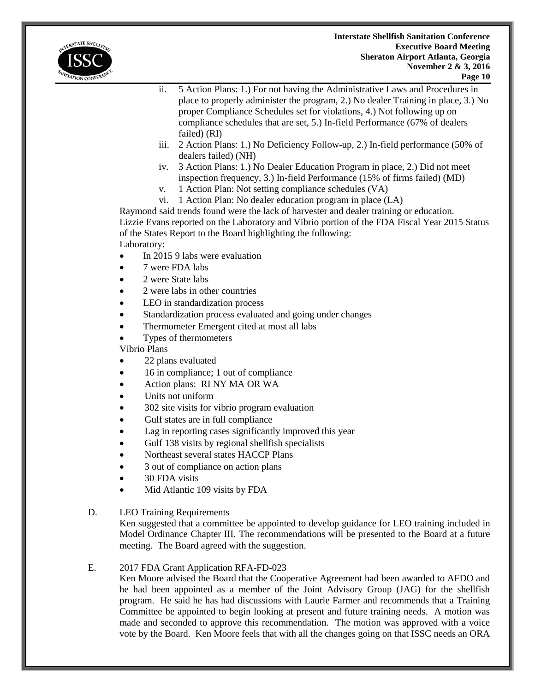

- ii. 5 Action Plans: 1.) For not having the Administrative Laws and Procedures in place to properly administer the program, 2.) No dealer Training in place, 3.) No proper Compliance Schedules set for violations, 4.) Not following up on compliance schedules that are set, 5.) In-field Performance (67% of dealers failed) (RI)
- iii. 2 Action Plans: 1.) No Deficiency Follow-up, 2.) In-field performance (50% of dealers failed) (NH)
- iv. 3 Action Plans: 1.) No Dealer Education Program in place, 2.) Did not meet inspection frequency, 3.) In-field Performance (15% of firms failed) (MD)
- v. 1 Action Plan: Not setting compliance schedules (VA)
- vi. 1 Action Plan: No dealer education program in place (LA)

Raymond said trends found were the lack of harvester and dealer training or education. Lizzie Evans reported on the Laboratory and Vibrio portion of the FDA Fiscal Year 2015 Status of the States Report to the Board highlighting the following: Laboratory:

- $\bullet$  In 2015 9 labs were evaluation
- 7 were FDA labs
- 2 were State labs
- 2 were labs in other countries
- LEO in standardization process
- Standardization process evaluated and going under changes
- Thermometer Emergent cited at most all labs
- Types of thermometers

Vibrio Plans

- 22 plans evaluated
- 16 in compliance; 1 out of compliance
- Action plans: RI NY MA OR WA
- Units not uniform
- 302 site visits for vibrio program evaluation
- Gulf states are in full compliance
- Lag in reporting cases significantly improved this year
- Gulf 138 visits by regional shellfish specialists
- Northeast several states HACCP Plans
- 3 out of compliance on action plans
- 30 FDA visits
- Mid Atlantic 109 visits by FDA
- D. LEO Training Requirements

Ken suggested that a committee be appointed to develop guidance for LEO training included in Model Ordinance Chapter III. The recommendations will be presented to the Board at a future meeting. The Board agreed with the suggestion.

# E. 2017 FDA Grant Application RFA-FD-023

Ken Moore advised the Board that the Cooperative Agreement had been awarded to AFDO and he had been appointed as a member of the Joint Advisory Group (JAG) for the shellfish program. He said he has had discussions with Laurie Farmer and recommends that a Training Committee be appointed to begin looking at present and future training needs. A motion was made and seconded to approve this recommendation. The motion was approved with a voice vote by the Board. Ken Moore feels that with all the changes going on that ISSC needs an ORA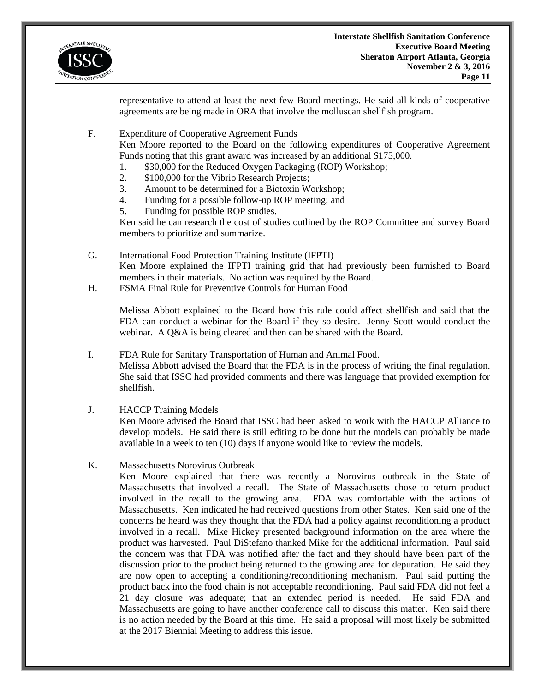

representative to attend at least the next few Board meetings. He said all kinds of cooperative agreements are being made in ORA that involve the molluscan shellfish program.

F. Expenditure of Cooperative Agreement Funds

Ken Moore reported to the Board on the following expenditures of Cooperative Agreement Funds noting that this grant award was increased by an additional \$175,000.

- 1. \$30,000 for the Reduced Oxygen Packaging (ROP) Workshop;
- 2. \$100,000 for the Vibrio Research Projects;
- 3. Amount to be determined for a Biotoxin Workshop;
- 4. Funding for a possible follow-up ROP meeting; and
- 5. Funding for possible ROP studies.

Ken said he can research the cost of studies outlined by the ROP Committee and survey Board members to prioritize and summarize.

- G. International Food Protection Training Institute (IFPTI) Ken Moore explained the IFPTI training grid that had previously been furnished to Board members in their materials. No action was required by the Board.
- H. FSMA Final Rule for Preventive Controls for Human Food

Melissa Abbott explained to the Board how this rule could affect shellfish and said that the FDA can conduct a webinar for the Board if they so desire. Jenny Scott would conduct the webinar. A Q&A is being cleared and then can be shared with the Board.

- I. FDA Rule for Sanitary Transportation of Human and Animal Food. Melissa Abbott advised the Board that the FDA is in the process of writing the final regulation. She said that ISSC had provided comments and there was language that provided exemption for shellfish.
- J. HACCP Training Models

Ken Moore advised the Board that ISSC had been asked to work with the HACCP Alliance to develop models. He said there is still editing to be done but the models can probably be made available in a week to ten (10) days if anyone would like to review the models.

K. Massachusetts Norovirus Outbreak

Ken Moore explained that there was recently a Norovirus outbreak in the State of Massachusetts that involved a recall. The State of Massachusetts chose to return product involved in the recall to the growing area. FDA was comfortable with the actions of Massachusetts. Ken indicated he had received questions from other States. Ken said one of the concerns he heard was they thought that the FDA had a policy against reconditioning a product involved in a recall. Mike Hickey presented background information on the area where the product was harvested. Paul DiStefano thanked Mike for the additional information. Paul said the concern was that FDA was notified after the fact and they should have been part of the discussion prior to the product being returned to the growing area for depuration. He said they are now open to accepting a conditioning/reconditioning mechanism. Paul said putting the product back into the food chain is not acceptable reconditioning. Paul said FDA did not feel a 21 day closure was adequate; that an extended period is needed. He said FDA and Massachusetts are going to have another conference call to discuss this matter. Ken said there is no action needed by the Board at this time. He said a proposal will most likely be submitted at the 2017 Biennial Meeting to address this issue.